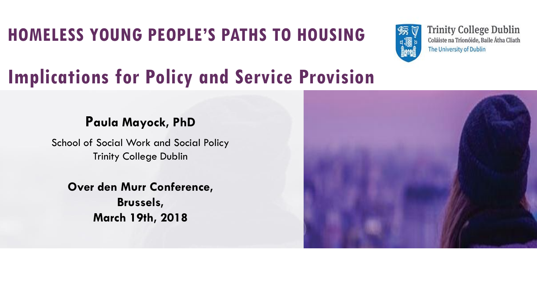### **HOMELESS YOUNG PEOPLE'S PATHS TO HOUSING**



**Trinity College Dublin** Coláiste na Tríonóide, Baile Átha Cliath The University of Dublin

### **Implications for Policy and Service Provision**

#### **Paula Mayock, PhD**

School of Social Work and Social Policy Trinity College Dublin

**Over den Murr Conference, Brussels, March 19th, 2018**

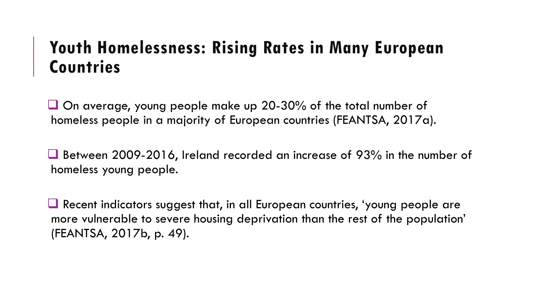### **Youth Homelessness: Rising Rates in Many European Countries**

❑ On average, young people make up 20-30% of the total number of homeless people in a majority of European countries (FEANTSA, 2017a).

■ Between 2009-2016, Ireland recorded an increase of 93% in the number of homeless young people.

❑ Recent indicators suggest that, in all European countries, 'young people are more vulnerable to severe housing deprivation than the rest of the population' (FEANTSA, 2017b, p. 49).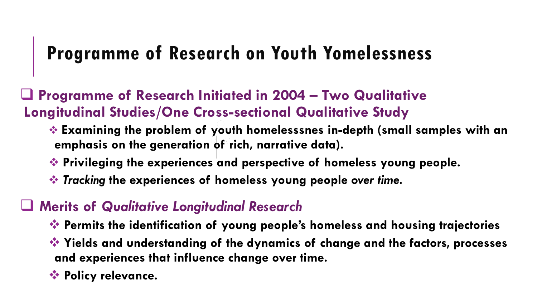### **Programme of Research on Youth Yomelessness**

❑ **Programme of Research Initiated in 2004 – Two Qualitative Longitudinal Studies/One Cross-sectional Qualitative Study**

- ❖ **Examining the problem of youth homelesssnes in-depth (small samples with an emphasis on the generation of rich, narrative data).**
- ❖ **Privileging the experiences and perspective of homeless young people.**
- ❖ *Tracking* **the experiences of homeless young people** *over time.*

### ❑ **Merits of** *Qualitative Longitudinal Research*

- ❖ **Permits the identification of young people's homeless and housing trajectories**
- ❖ **Yields and understanding of the dynamics of change and the factors, processes and experiences that influence change over time.**
- ❖ **Policy relevance.**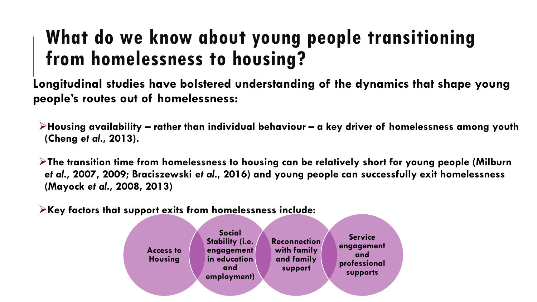### **What do we know about young people transitioning from homelessness to housing?**

**Longitudinal studies have bolstered understanding of the dynamics that shape young people's routes out of homelessness:** 

➢**Housing availability – rather than individual behaviour – a key driver of homelessness among youth (Cheng** *et al***., 2013).**

➢**The transition time from homelessness to housing can be relatively short for young people (Milburn**  *et al***., 2007, 2009; Braciszewski** *et al***., 2016) and young people can successfully exit homelessness (Mayock** *et al***., 2008, 2013)**

➢**Key factors that support exits from homelessness include:**

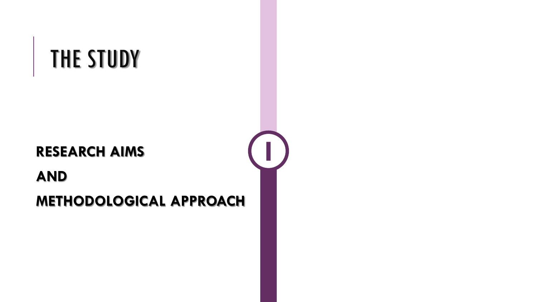# THE STUDY

#### **RESEARCH AIMS**

**AND** 

### **METHODOLOGICAL APPROACH**

**I**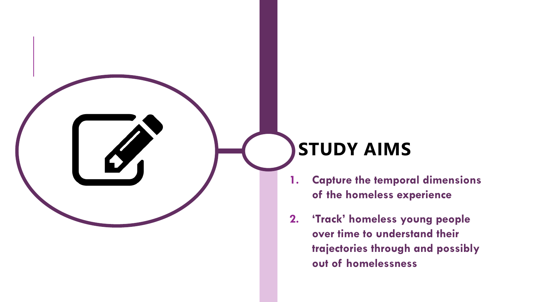### **STUDY AIMS**

- **1. Capture the temporal dimensions of the homeless experience**
- **2. 'Track' homeless young people over time to understand their trajectories through and possibly out of homelessness**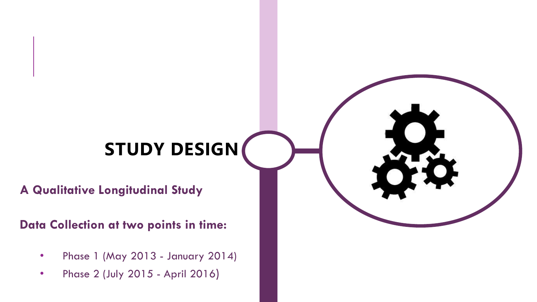# **STUDY DESIGN**

**A Qualitative Longitudinal Study**

**Data Collection at two points in time:**

- Phase 1 (May 2013 January 2014)
- Phase 2 (July 2015 April 2016)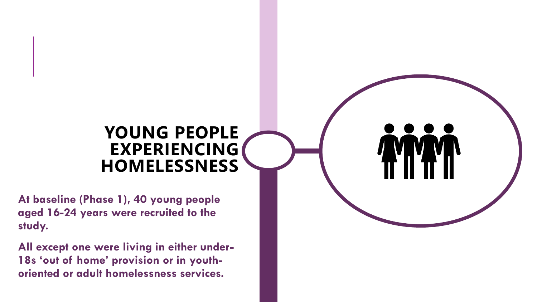### **YOUNG PEOPLE EXPERIENCING HOMELESSNESS**

**At baseline (Phase 1), 40 young people aged 16-24 years were recruited to the study.**

**All except one were living in either under-18s 'out of home' provision or in youthoriented or adult homelessness services.**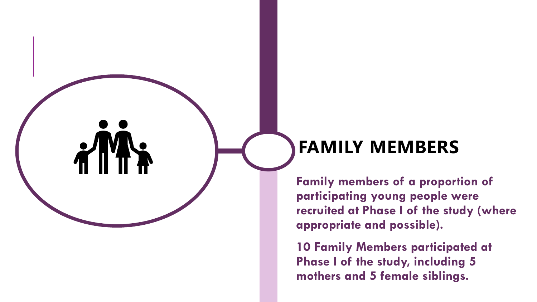### **FAMILY MEMBERS**

**Family members of a proportion of participating young people were recruited at Phase I of the study (where appropriate and possible).**

**10 Family Members participated at Phase I of the study, including 5 mothers and 5 female siblings.**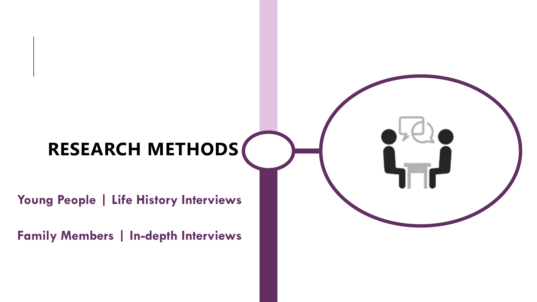# **RESEARCH METHODS**

**Young People | Life History Interviews**

**Family Members | In-depth Interviews**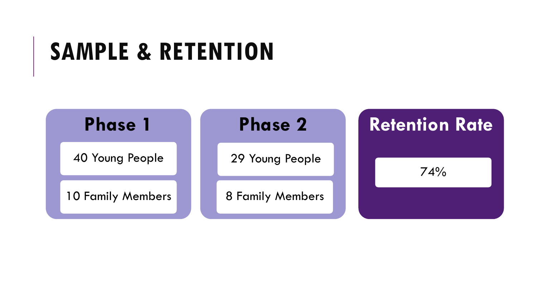# **SAMPLE & RETENTION**

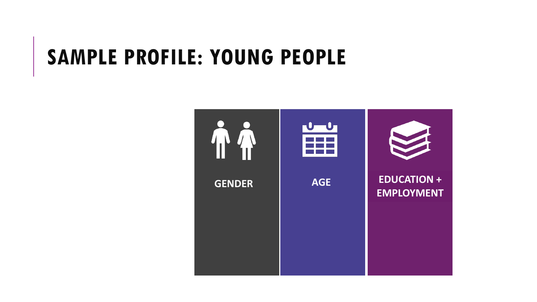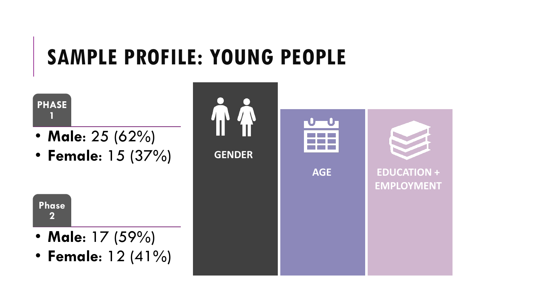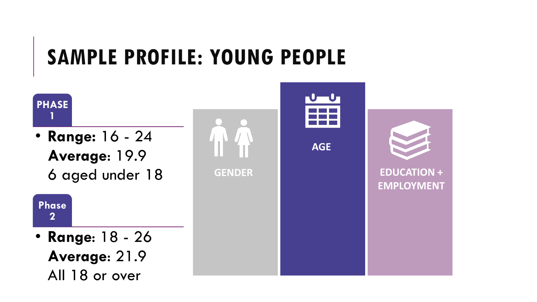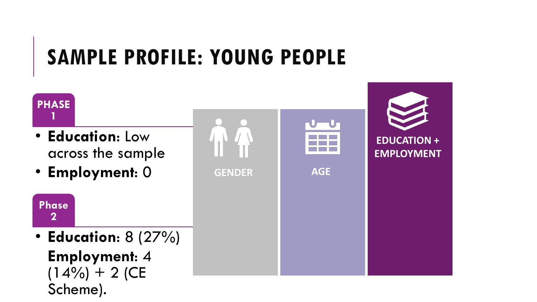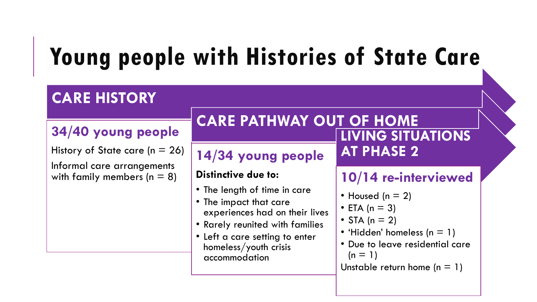# **Young people with Histories of State Care**

#### **CARE HISTORY 34/40 young people** History of State care ( $n = 26$ ) Informal care arrangements with family members ( $n = 8$ ) **CARE PATHWAY OUT OF HOME 14/34 young people Distinctive due to:** • The length of time in care • The impact that care experiences had on their lives • Rarely reunited with families • Left a care setting to enter homeless/youth crisis accommodation **LIVING SITUATIONS AT PHASE 2 10/14 re-interviewed** • Housed ( $n = 2$ ) • ETA ( $n = 3$ ) • STA ( $n = 2$ ) • 'Hidden' homeless  $(n = 1)$ • Due to leave residential care  $(n = 1)$ Unstable return home  $(n = 1)$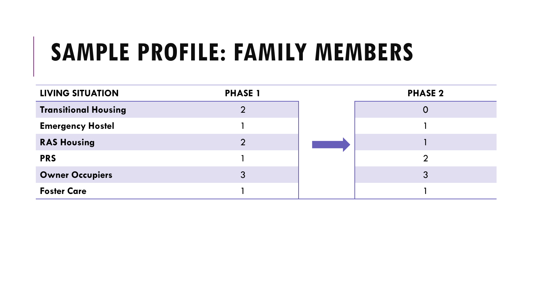# **SAMPLE PROFILE: FAMILY MEMBERS**

| <b>LIVING SITUATION</b>     | <b>PHASE 1</b> | <b>PHASE 2</b> |
|-----------------------------|----------------|----------------|
| <b>Transitional Housing</b> |                |                |
| <b>Emergency Hostel</b>     |                |                |
| <b>RAS Housing</b>          |                |                |
| <b>PRS</b>                  |                |                |
| <b>Owner Occupiers</b>      |                | 3              |
| <b>Foster Care</b>          |                |                |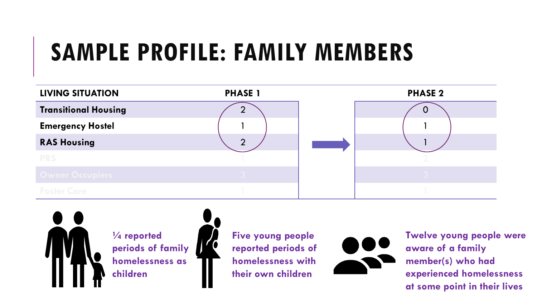# **SAMPLE PROFILE: FAMILY MEMBERS**





**¼ reported periods of family homelessness as children**

**Five young people reported periods of homelessness with their own children**



**Twelve young people were aware of a family member(s) who had experienced homelessness at some point in their lives**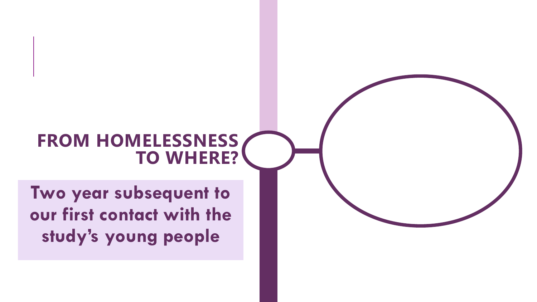### **FROM HOMELESSNESS TO WHERE?**

**Two year subsequent to our first contact with the study's young people**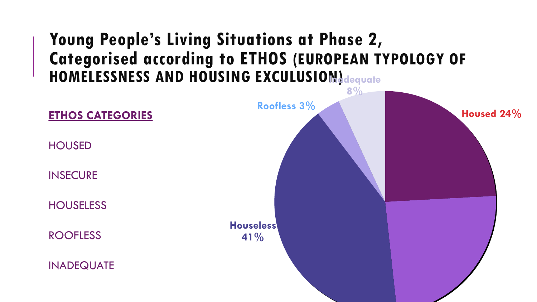### **Young People's Living Situations at Phase 2, Categorised according to ETHOS (EUROPEAN TYPOLOGY OF HOMELESSNESS AND HOUSING EXCULUSION)** dequate

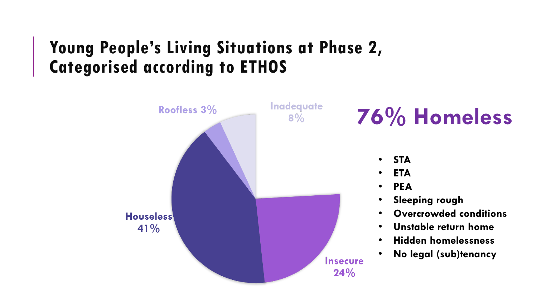### **Young People's Living Situations at Phase 2, Categorised according to ETHOS**

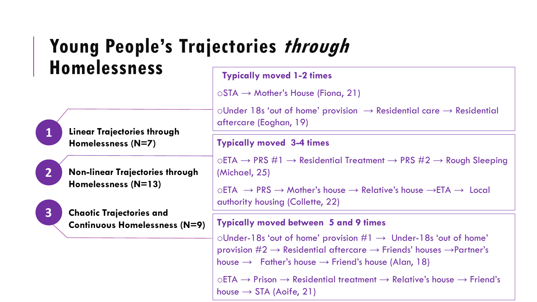#### **Typically moved 1-2 times Young People's Trajectories through Homelessness**

 $\circ$ STA  $\rightarrow$  Mother's House (Fiona, 21)

 $\circ$ Under 18s 'out of home' provision  $\rightarrow$  Residential care  $\rightarrow$  Residential aftercare (Eoghan, 19)

#### **Typically moved 3-4 times**

 $\circ$ ETA  $\rightarrow$  PRS #1  $\rightarrow$  Residential Treatment  $\rightarrow$  PRS #2  $\rightarrow$  Rough Sleeping (Michael, 25)

 $\circ$ ETA  $\rightarrow$  PRS  $\rightarrow$  Mother's house  $\rightarrow$  Relative's house  $\rightarrow$ ETA  $\rightarrow$  Local authority housing (Collette, 22)

#### **Typically moved between 5 and 9 times**

 $\circ$ Under-18s 'out of home' provision  $\#1 \rightarrow$  Under-18s 'out of home' provision  $#2 \rightarrow$  Residential aftercare  $\rightarrow$  Friends' houses  $\rightarrow$  Partner's house  $\rightarrow$  Father's house  $\rightarrow$  Friend's house (Alan, 18)

 $\circ$ ETA  $\rightarrow$  Prison  $\rightarrow$  Residential treatment  $\rightarrow$  Relative's house  $\rightarrow$  Friend's house  $\rightarrow$  STA (Aoife, 21)

**Linear Trajectories through Homelessness (N=7)**





**1**

**2**

**Chaotic Trajectories and Continuous Homelessness (N=9)**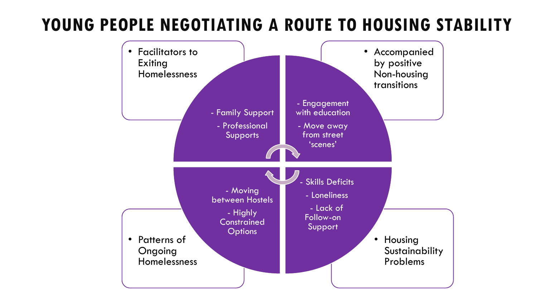### **YOUNG PEOPLE NEGOTIATING A ROUTE TO HOUSING STABILITY**

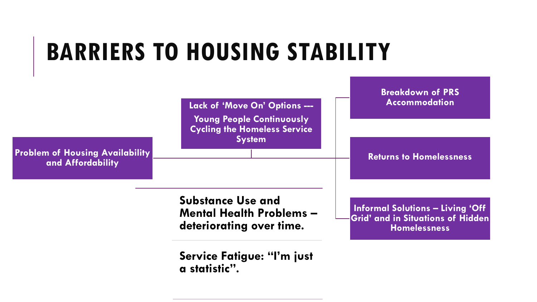# **BARRIERS TO HOUSING STABILITY**



**Service Fatigue: "I'm just a statistic".**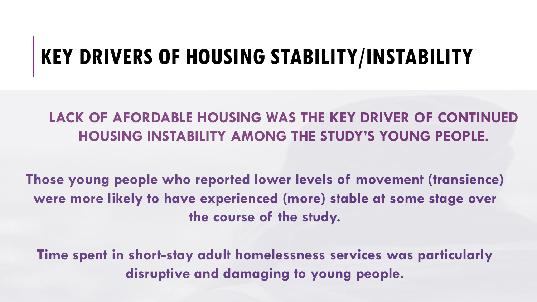### **KEY DRIVERS OF HOUSING STABILITY/INSTABILITY**

### **LACK OF AFORDABLE HOUSING WAS THE KEY DRIVER OF CONTINUED HOUSING INSTABILITY AMONG THE STUDY'S YOUNG PEOPLE.**

**Those young people who reported lower levels of movement (transience) were more likely to have experienced (more) stable at some stage over the course of the study.** 

**Time spent in short-stay adult homelessness services was particularly disruptive and damaging to young people.**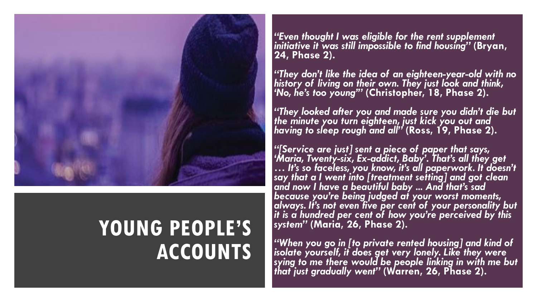

### **YOUNG PEOPLE'S ACCOUNTS**

*"Even thought I was eligible for the rent supplement initiative it was still impossible to find housing"* **(Bryan, 24, Phase 2).**

*"They don't like the idea of an eighteen-year-old with no history of living on their own. They just look and think, 'No, he's too young'"* **(Christopher, 18, Phase 2).**

*"They looked after you and made sure you didn't die but the minute you turn eighteen, just kick you out and having to sleep rough and all"* **(Ross, 19, Phase 2).**

*"[Service are just] sent a piece of paper that says, 'Maria, Twenty-six, Ex-addict, Baby'. That's all they get … It's so faceless, you know, it's all paperwork. It doesn't say that a I went into [treatment setting] and got clean and now I have a beautiful baby ... And that's sad because you're being judged at your worst moments, always. It's not even five per cent of your personality but it is a hundred per cent of how you're perceived by this system"* **(Maria, 26, Phase 2).**

*"When you go in [to private rented housing] and kind of isolate yourself, it does get very lonely. Like they were sying to me there would be people linking in with me but that just gradually went"* **(Warren, 26, Phase 2).**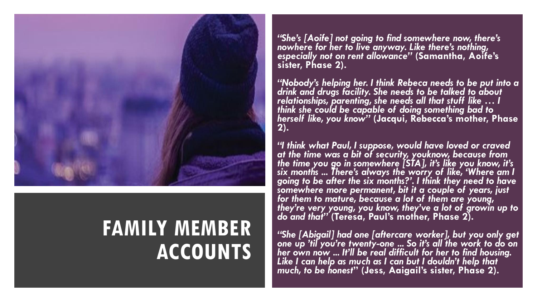

### **FAMILY MEMBER ACCOUNTS**

*"She's [Aoife] not going to find somewhere now, there's nowhere for her to live anyway. Like there's nothing, especially not on rent allowance"* **(Samantha, Aoife's sister, Phase 2).**

*"Nobody's helping her. I think Rebeca needs to be put into a drink and drugs facility. She needs to be talked to about relationships, parenting, she needs all that stuff like … I think she could be capable of doing something bad to herself like, you know"* **(Jacqui, Rebecca's mother, Phase 2).**

*"I think what Paul, I suppose, would have loved or craved at the time was a bit of security, youknow, because from the time you go in somewhere [STA], it's like you know, it's six months ... There's always the worry of like, 'Where am I going to be after the six months?'. I think they need to have somewhere more permanent, bit it a couple of years, just for them to mature, because a lot of them are young, they're very young, you know, they've a lot of growin up to do and that"* **(Teresa, Paul's mother, Phase 2).**

*"She [Abigail] had one [aftercare worker], but you only get one up 'til you're twenty-one ... So it's all the work to do on her own now ... It'll be real difficult for her to find housing. Like I can help as much as I can but I douldn't help that much, to be honest***" (Jess, Aaigail's sister, Phase 2).**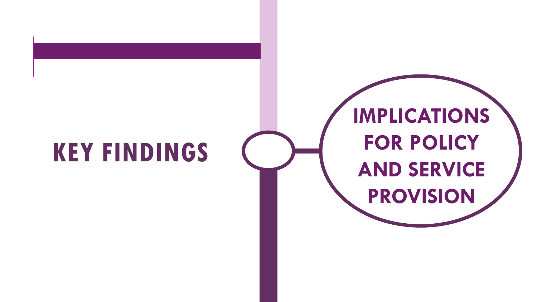# **KEY FINDINGS**

# **IMPLICATIONS FOR POLICY AND SERVICE PROVISION**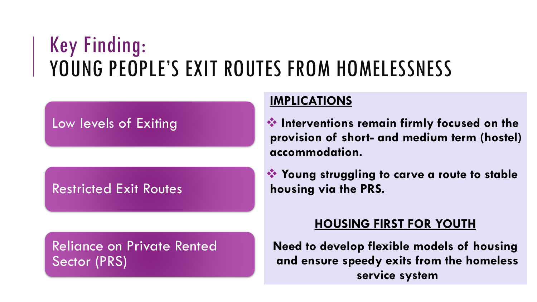### Key Finding: YOUNG PEOPLE'S EXIT ROUTES FROM HOMELESSNESS

#### Low levels of Exiting

#### Restricted Exit Routes

Reliance on Private Rented Sector (PRS)

#### **IMPLICATIONS**

❖ **Interventions remain firmly focused on the provision of short- and medium term (hostel) accommodation.**

❖ **Young struggling to carve a route to stable housing via the PRS.**

#### **HOUSING FIRST FOR YOUTH**

**Need to develop flexible models of housing and ensure speedy exits from the homeless service system**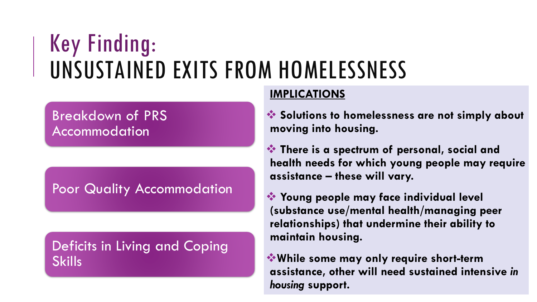# Key Finding: UNSUSTAINED EXITS FROM HOMELESSNESS

#### Breakdown of PRS Accommodation

Poor Quality Accommodation

Deficits in Living and Coping **Skills** 

#### **IMPLICATIONS**

❖ **Solutions to homelessness are not simply about moving into housing.**

❖ **There is a spectrum of personal, social and health needs for which young people may require assistance – these will vary.**

❖ **Young people may face individual level (substance use/mental health/managing peer relationships) that undermine their ability to maintain housing.**

❖**While some may only require short-term assistance, other will need sustained intensive** *in housing* **support.**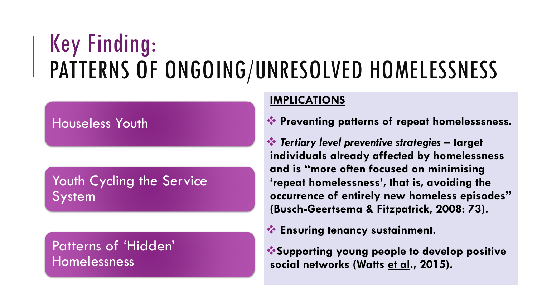# Key Finding: PATTERNS OF ONGOING/UNRESOLVED HOMELESSNESS

#### Houseless Youth

Youth Cycling the Service System

Patterns of 'Hidden' Homelessness

#### **IMPLICATIONS**

❖ **Preventing patterns of repeat homelesssness.**

❖ *Tertiary level preventive strategies* **– target individuals already affected by homelessness and is "more often focused on minimising 'repeat homelessness', that is, avoiding the occurrence of entirely new homeless episodes" (Busch-Geertsema & Fitzpatrick, 2008: 73).**

❖ **Ensuring tenancy sustainment.**

❖**Supporting young people to develop positive social networks (Watts et al., 2015).**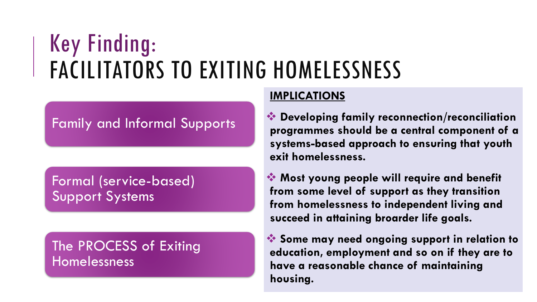# Key Finding: FACILITATORS TO EXITING HOMELESSNESS

#### Family and Informal Supports

Formal (service-based) Support Systems

The PROCESS of Exiting Homelessness

#### **IMPLICATIONS**

❖ **Developing family reconnection/reconciliation programmes should be a central component of a systems-based approach to ensuring that youth exit homelessness.**

❖ **Most young people will require and benefit from some level of support as they transition from homelessness to independent living and succeed in attaining broarder life goals.**

❖ **Some may need ongoing support in relation to education, employment and so on if they are to have a reasonable chance of maintaining housing.**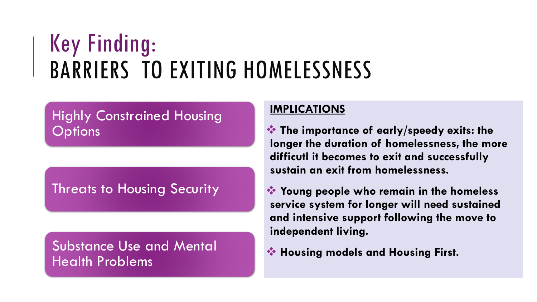# Key Finding: BARRIERS TO EXITING HOMELESSNESS

#### Highly Constrained Housing **Options**

Threats to Housing Security

Substance Use and Mental Health Problems

#### **IMPLICATIONS**

❖ **The importance of early/speedy exits: the longer the duration of homelessness, the more difficutl it becomes to exit and successfully sustain an exit from homelessness.**

❖ **Young people who remain in the homeless service system for longer will need sustained and intensive support following the move to independent living.**

❖ **Housing models and Housing First.**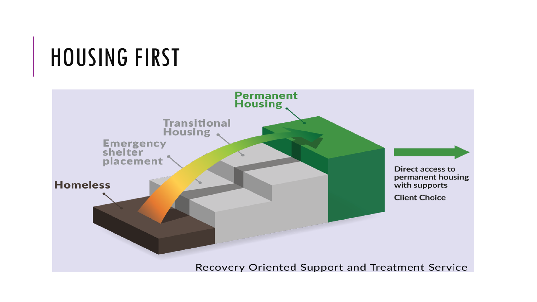# HOUSING FIRST

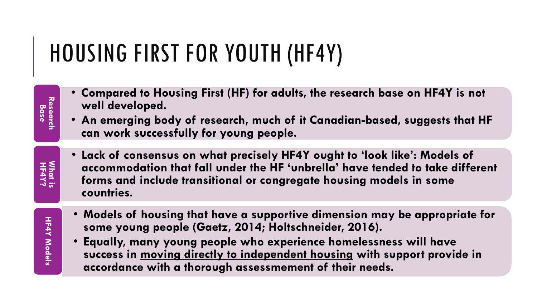# HOUSING FIRST FOR YOUTH (HF4Y)

- **Compared to Housing First (HF) for adults, the research base on HF4Y is not well developed.**
- **An emerging body of research, much of it Canadian-based, suggests that HF can work successfully for young people.**
- **Lack of consensus on what precisely HF4Y ought to 'look like': Models of accommodation that fall under the HF 'unbrella' have tended to take different forms and include transitional or congregate housing models in some countries.**
- **HF4Y Models HF4Y Models**

**HF4Y? What is** 

**Research Research<br>Base** 

- **Models of housing that have a supportive dimension may be appropriate for some young people (Gaetz, 2014; Holtschneider, 2016).**
- **Equally, many young people who experience homelessness will have success in moving directly to independent housing with support provide in accordance with a thorough assessmement of their needs.**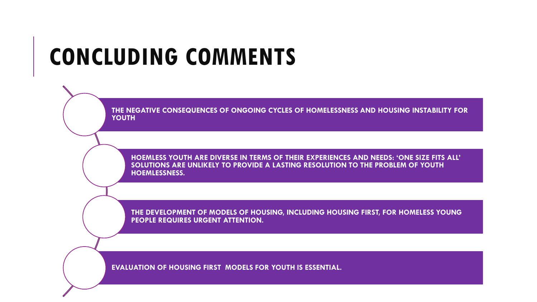# **CONCLUDING COMMENTS**

**THE NEGATIVE CONSEQUENCES OF ONGOING CYCLES OF HOMELESSNESS AND HOUSING INSTABILITY FOR YOUTH**

**HOEMLESS YOUTH ARE DIVERSE IN TERMS OF THEIR EXPERIENCES AND NEEDS: 'ONE SIZE FITS ALL' SOLUTIONS ARE UNLIKELY TO PROVIDE A LASTING RESOLUTION TO THE PROBLEM OF YOUTH HOEMLESSNESS.**

**THE DEVELOPMENT OF MODELS OF HOUSING, INCLUDING HOUSING FIRST, FOR HOMELESS YOUNG PEOPLE REQUIRES URGENT ATTENTION.**

**EVALUATION OF HOUSING FIRST MODELS FOR YOUTH IS ESSENTIAL.**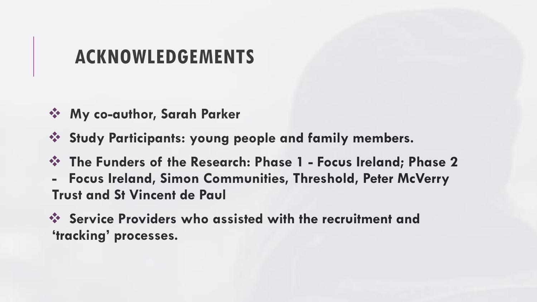### **ACKNOWLEDGEMENTS**

- ❖ **My co-author, Sarah Parker**
- ❖ **Study Participants: young people and family members.**
- ❖ **The Funders of the Research: Phase 1 - Focus Ireland; Phase 2**
- **- Focus Ireland, Simon Communities, Threshold, Peter McVerry Trust and St Vincent de Paul**
- ❖ **Service Providers who assisted with the recruitment and 'tracking' processes.**